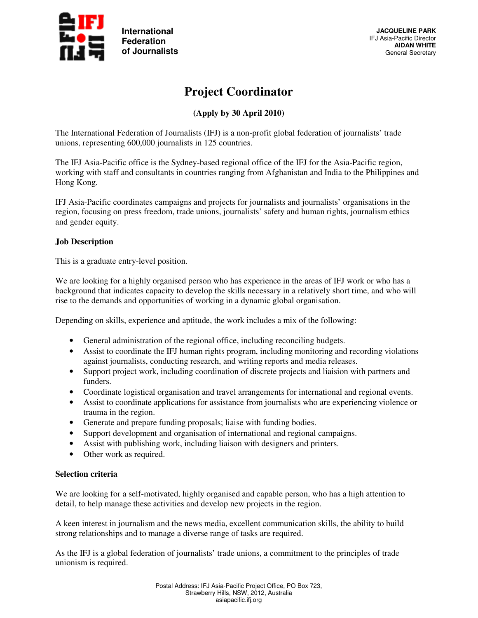

# **Project Coordinator**

## **(Apply by 30 April 2010)**

The International Federation of Journalists (IFJ) is a non-profit global federation of journalists' trade unions, representing 600,000 journalists in 125 countries.

The IFJ Asia-Pacific office is the Sydney-based regional office of the IFJ for the Asia-Pacific region, working with staff and consultants in countries ranging from Afghanistan and India to the Philippines and Hong Kong.

IFJ Asia-Pacific coordinates campaigns and projects for journalists and journalists' organisations in the region, focusing on press freedom, trade unions, journalists' safety and human rights, journalism ethics and gender equity.

#### **Job Description**

This is a graduate entry-level position.

We are looking for a highly organised person who has experience in the areas of IFJ work or who has a background that indicates capacity to develop the skills necessary in a relatively short time, and who will rise to the demands and opportunities of working in a dynamic global organisation.

Depending on skills, experience and aptitude, the work includes a mix of the following:

- General administration of the regional office, including reconciling budgets.
- Assist to coordinate the IFJ human rights program, including monitoring and recording violations against journalists, conducting research, and writing reports and media releases.
- Support project work, including coordination of discrete projects and liaision with partners and funders.
- Coordinate logistical organisation and travel arrangements for international and regional events.
- Assist to coordinate applications for assistance from journalists who are experiencing violence or trauma in the region.
- Generate and prepare funding proposals; liaise with funding bodies.
- Support development and organisation of international and regional campaigns.
- Assist with publishing work, including liaison with designers and printers.
- Other work as required.

### **Selection criteria**

We are looking for a self-motivated, highly organised and capable person, who has a high attention to detail, to help manage these activities and develop new projects in the region.

A keen interest in journalism and the news media, excellent communication skills, the ability to build strong relationships and to manage a diverse range of tasks are required.

As the IFJ is a global federation of journalists' trade unions, a commitment to the principles of trade unionism is required.